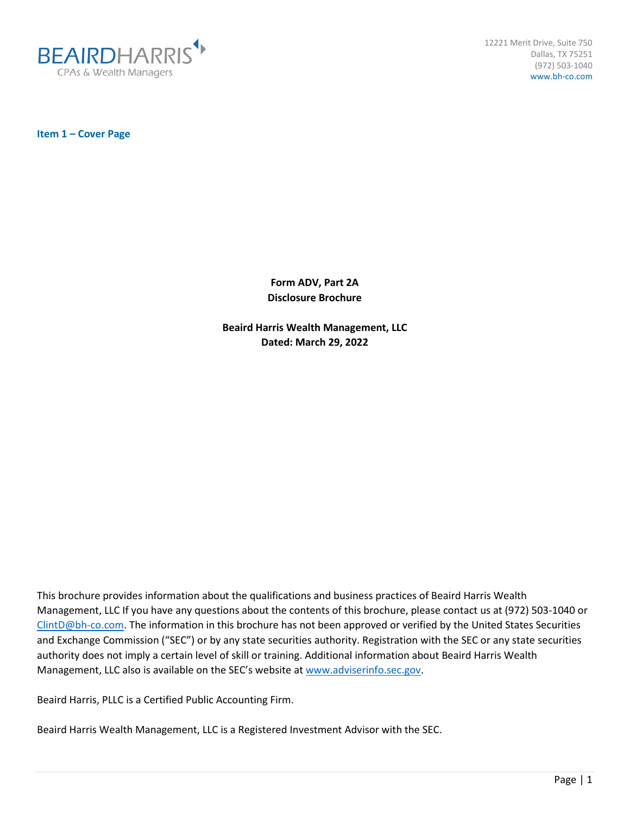

12221 Merit Drive, Suite 750 Dallas, TX 75251 (972) 503-1040 www.bh-co.com

<span id="page-0-0"></span>**Item 1 – Cover Page**

**Form ADV, Part 2A Disclosure Brochure**

**Beaird Harris Wealth Management, LLC Dated: March 29, 2022**

This brochure provides information about the qualifications and business practices of Beaird Harris Wealth Management, LLC If you have any questions about the contents of this brochure, please contact us at (972) 503-1040 or [ClintD@bh-co.com.](mailto:ClintD@bh-co.com) The information in this brochure has not been approved or verified by the United States Securities and Exchange Commission ("SEC") or by any state securities authority. Registration with the SEC or any state securities authority does not imply a certain level of skill or training. Additional information about Beaird Harris Wealth Management, LLC also is available on the SEC's website at [www.adviserinfo.sec.gov.](http://www.adviserinfo.sec.gov/)

Beaird Harris, PLLC is a Certified Public Accounting Firm.

Beaird Harris Wealth Management, LLC is a Registered Investment Advisor with the SEC.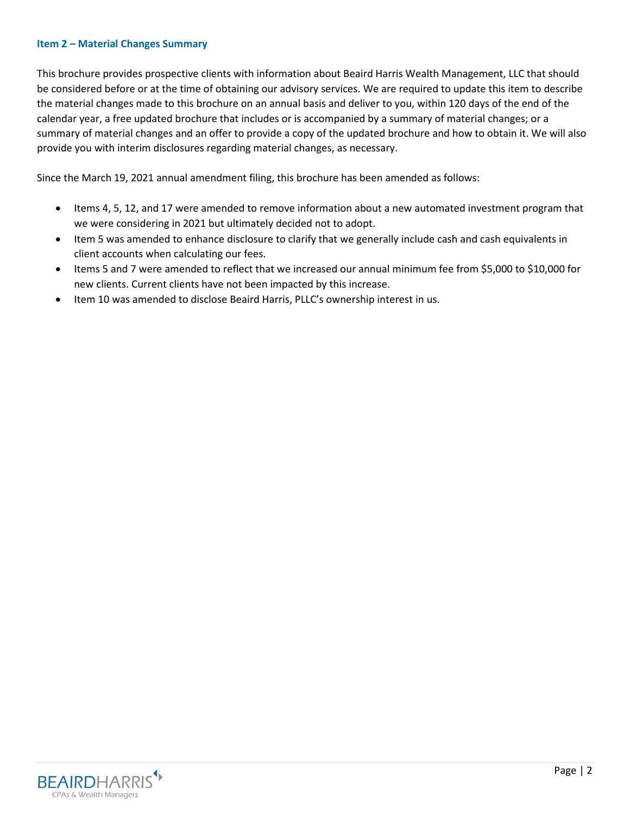#### <span id="page-1-0"></span>**Item 2 – Material Changes Summary**

This brochure provides prospective clients with information about Beaird Harris Wealth Management, LLC that should be considered before or at the time of obtaining our advisory services. We are required to update this item to describe the material changes made to this brochure on an annual basis and deliver to you, within 120 days of the end of the calendar year, a free updated brochure that includes or is accompanied by a summary of material changes; or a summary of material changes and an offer to provide a copy of the updated brochure and how to obtain it. We will also provide you with interim disclosures regarding material changes, as necessary.

Since the March 19, 2021 annual amendment filing, this brochure has been amended as follows:

- Items 4, 5, 12, and 17 were amended to remove information about a new automated investment program that we were considering in 2021 but ultimately decided not to adopt.
- Item 5 was amended to enhance disclosure to clarify that we generally include cash and cash equivalents in client accounts when calculating our fees.
- Items 5 and 7 were amended to reflect that we increased our annual minimum fee from \$5,000 to \$10,000 for new clients. Current clients have not been impacted by this increase.
- Item 10 was amended to disclose Beaird Harris, PLLC's ownership interest in us.

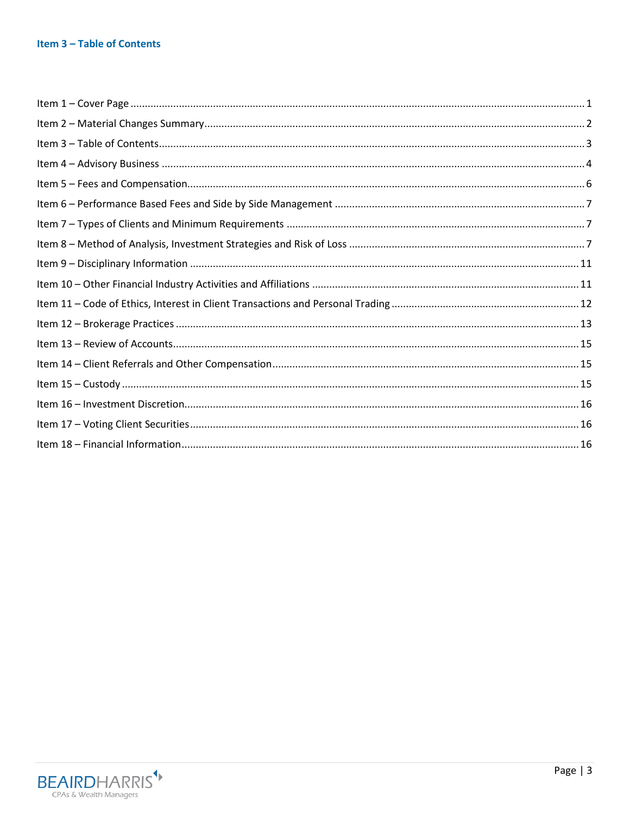# <span id="page-2-0"></span>Item 3 - Table of Contents

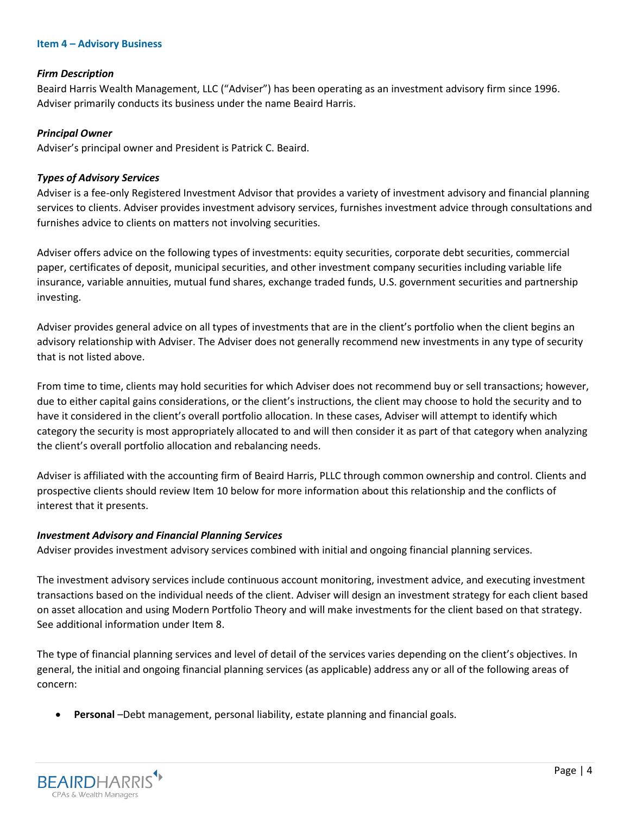#### <span id="page-3-0"></span>**Item 4 – Advisory Business**

#### *Firm Description*

Beaird Harris Wealth Management, LLC ("Adviser") has been operating as an investment advisory firm since 1996. Adviser primarily conducts its business under the name Beaird Harris.

#### *Principal Owner*

Adviser's principal owner and President is Patrick C. Beaird.

#### *Types of Advisory Services*

Adviser is a fee-only Registered Investment Advisor that provides a variety of investment advisory and financial planning services to clients. Adviser provides investment advisory services, furnishes investment advice through consultations and furnishes advice to clients on matters not involving securities.

Adviser offers advice on the following types of investments: equity securities, corporate debt securities, commercial paper, certificates of deposit, municipal securities, and other investment company securities including variable life insurance, variable annuities, mutual fund shares, exchange traded funds, U.S. government securities and partnership investing.

Adviser provides general advice on all types of investments that are in the client's portfolio when the client begins an advisory relationship with Adviser. The Adviser does not generally recommend new investments in any type of security that is not listed above.

From time to time, clients may hold securities for which Adviser does not recommend buy or sell transactions; however, due to either capital gains considerations, or the client's instructions, the client may choose to hold the security and to have it considered in the client's overall portfolio allocation. In these cases, Adviser will attempt to identify which category the security is most appropriately allocated to and will then consider it as part of that category when analyzing the client's overall portfolio allocation and rebalancing needs.

Adviser is affiliated with the accounting firm of Beaird Harris, PLLC through common ownership and control. Clients and prospective clients should review Item 10 below for more information about this relationship and the conflicts of interest that it presents.

### *Investment Advisory and Financial Planning Services*

Adviser provides investment advisory services combined with initial and ongoing financial planning services.

The investment advisory services include continuous account monitoring, investment advice, and executing investment transactions based on the individual needs of the client. Adviser will design an investment strategy for each client based on asset allocation and using Modern Portfolio Theory and will make investments for the client based on that strategy. See additional information under Item 8.

The type of financial planning services and level of detail of the services varies depending on the client's objectives. In general, the initial and ongoing financial planning services (as applicable) address any or all of the following areas of concern:

• **Personal** –Debt management, personal liability, estate planning and financial goals.

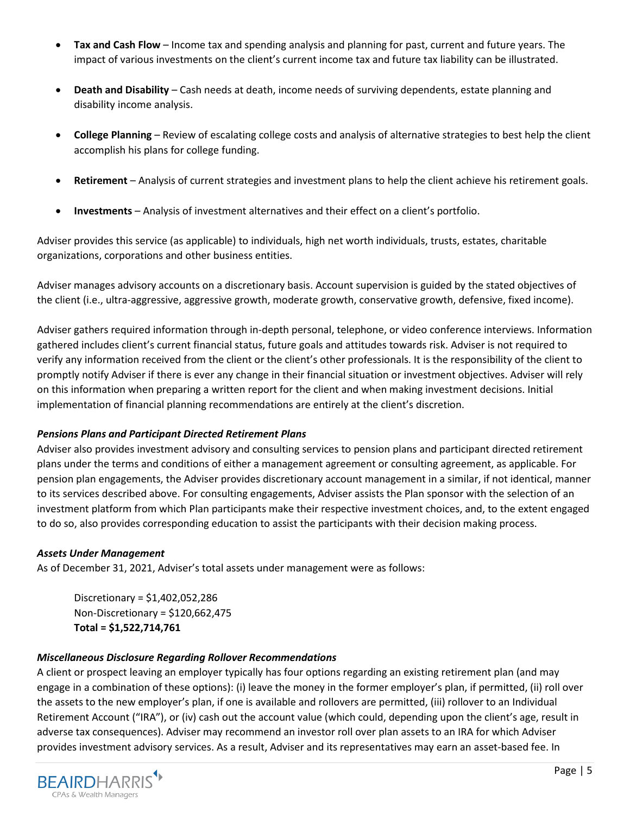- **Tax and Cash Flow** Income tax and spending analysis and planning for past, current and future years. The impact of various investments on the client's current income tax and future tax liability can be illustrated.
- **Death and Disability** Cash needs at death, income needs of surviving dependents, estate planning and disability income analysis.
- **College Planning** Review of escalating college costs and analysis of alternative strategies to best help the client accomplish his plans for college funding.
- **Retirement** Analysis of current strategies and investment plans to help the client achieve his retirement goals.
- **Investments** Analysis of investment alternatives and their effect on a client's portfolio.

Adviser provides this service (as applicable) to individuals, high net worth individuals, trusts, estates, charitable organizations, corporations and other business entities.

Adviser manages advisory accounts on a discretionary basis. Account supervision is guided by the stated objectives of the client (i.e., ultra-aggressive, aggressive growth, moderate growth, conservative growth, defensive, fixed income).

Adviser gathers required information through in-depth personal, telephone, or video conference interviews. Information gathered includes client's current financial status, future goals and attitudes towards risk. Adviser is not required to verify any information received from the client or the client's other professionals. It is the responsibility of the client to promptly notify Adviser if there is ever any change in their financial situation or investment objectives. Adviser will rely on this information when preparing a written report for the client and when making investment decisions. Initial implementation of financial planning recommendations are entirely at the client's discretion.

# *Pensions Plans and Participant Directed Retirement Plans*

Adviser also provides investment advisory and consulting services to pension plans and participant directed retirement plans under the terms and conditions of either a management agreement or consulting agreement, as applicable. For pension plan engagements, the Adviser provides discretionary account management in a similar, if not identical, manner to its services described above. For consulting engagements, Adviser assists the Plan sponsor with the selection of an investment platform from which Plan participants make their respective investment choices, and, to the extent engaged to do so, also provides corresponding education to assist the participants with their decision making process.

# *Assets Under Management*

As of December 31, 2021, Adviser's total assets under management were as follows:

Discretionary = \$1,402,052,286 Non-Discretionary = \$120,662,475 **Total = \$1,522,714,761**

### *Miscellaneous Disclosure Regarding Rollover Recommendations*

A client or prospect leaving an employer typically has four options regarding an existing retirement plan (and may engage in a combination of these options): (i) leave the money in the former employer's plan, if permitted, (ii) roll over the assets to the new employer's plan, if one is available and rollovers are permitted, (iii) rollover to an Individual Retirement Account ("IRA"), or (iv) cash out the account value (which could, depending upon the client's age, result in adverse tax consequences). Adviser may recommend an investor roll over plan assets to an IRA for which Adviser provides investment advisory services. As a result, Adviser and its representatives may earn an asset-based fee. In

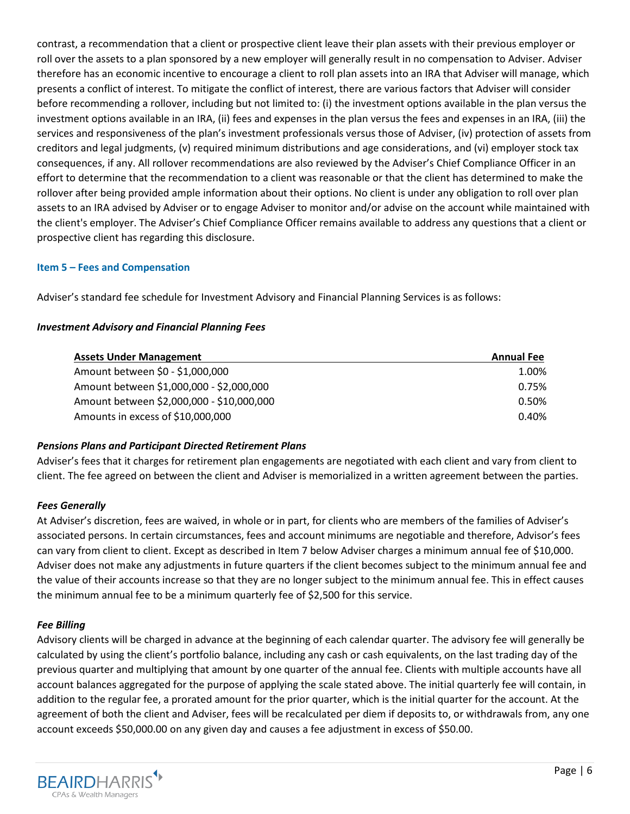contrast, a recommendation that a client or prospective client leave their plan assets with their previous employer or roll over the assets to a plan sponsored by a new employer will generally result in no compensation to Adviser. Adviser therefore has an economic incentive to encourage a client to roll plan assets into an IRA that Adviser will manage, which presents a conflict of interest. To mitigate the conflict of interest, there are various factors that Adviser will consider before recommending a rollover, including but not limited to: (i) the investment options available in the plan versus the investment options available in an IRA, (ii) fees and expenses in the plan versus the fees and expenses in an IRA, (iii) the services and responsiveness of the plan's investment professionals versus those of Adviser, (iv) protection of assets from creditors and legal judgments, (v) required minimum distributions and age considerations, and (vi) employer stock tax consequences, if any. All rollover recommendations are also reviewed by the Adviser's Chief Compliance Officer in an effort to determine that the recommendation to a client was reasonable or that the client has determined to make the rollover after being provided ample information about their options. No client is under any obligation to roll over plan assets to an IRA advised by Adviser or to engage Adviser to monitor and/or advise on the account while maintained with the client's employer. The Adviser's Chief Compliance Officer remains available to address any questions that a client or prospective client has regarding this disclosure.

# <span id="page-5-0"></span>**Item 5 – Fees and Compensation**

Adviser's standard fee schedule for Investment Advisory and Financial Planning Services is as follows:

## *Investment Advisory and Financial Planning Fees*

| <b>Assets Under Management</b>            | <b>Annual Fee</b> |
|-------------------------------------------|-------------------|
| Amount between \$0 - \$1,000,000          | 1.00%             |
| Amount between \$1,000,000 - \$2,000,000  | 0.75%             |
| Amount between \$2,000,000 - \$10,000,000 | 0.50%             |
| Amounts in excess of \$10,000,000         | 0.40%             |

# *Pensions Plans and Participant Directed Retirement Plans*

Adviser's fees that it charges for retirement plan engagements are negotiated with each client and vary from client to client. The fee agreed on between the client and Adviser is memorialized in a written agreement between the parties.

# *Fees Generally*

At Adviser's discretion, fees are waived, in whole or in part, for clients who are members of the families of Adviser's associated persons. In certain circumstances, fees and account minimums are negotiable and therefore, Advisor's fees can vary from client to client. Except as described in Item 7 below Adviser charges a minimum annual fee of \$10,000. Adviser does not make any adjustments in future quarters if the client becomes subject to the minimum annual fee and the value of their accounts increase so that they are no longer subject to the minimum annual fee. This in effect causes the minimum annual fee to be a minimum quarterly fee of \$2,500 for this service.

# *Fee Billing*

Advisory clients will be charged in advance at the beginning of each calendar quarter. The advisory fee will generally be calculated by using the client's portfolio balance, including any cash or cash equivalents, on the last trading day of the previous quarter and multiplying that amount by one quarter of the annual fee. Clients with multiple accounts have all account balances aggregated for the purpose of applying the scale stated above. The initial quarterly fee will contain, in addition to the regular fee, a prorated amount for the prior quarter, which is the initial quarter for the account. At the agreement of both the client and Adviser, fees will be recalculated per diem if deposits to, or withdrawals from, any one account exceeds \$50,000.00 on any given day and causes a fee adjustment in excess of \$50.00.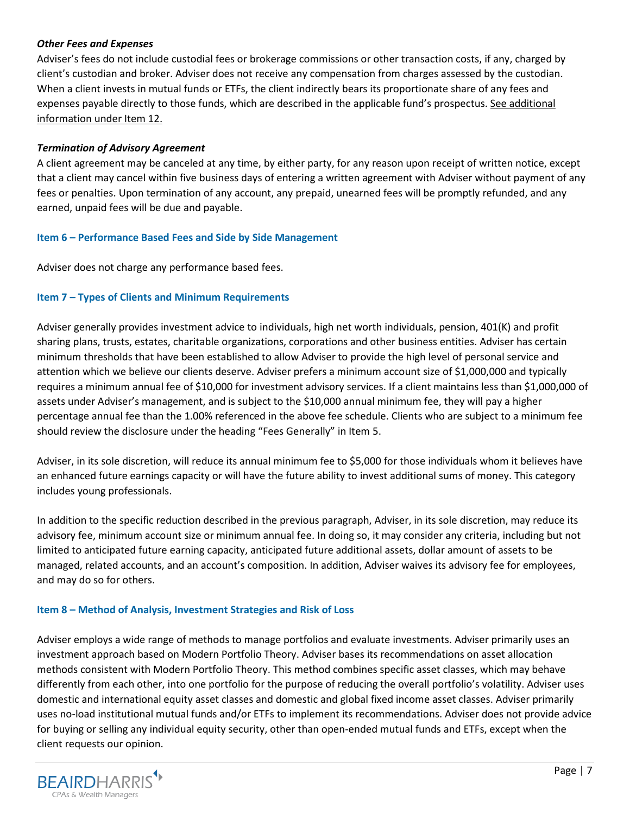## *Other Fees and Expenses*

Adviser's fees do not include custodial fees or brokerage commissions or other transaction costs, if any, charged by client's custodian and broker. Adviser does not receive any compensation from charges assessed by the custodian. When a client invests in mutual funds or ETFs, the client indirectly bears its proportionate share of any fees and expenses payable directly to those funds, which are described in the applicable fund's prospectus. See additional information under Item 12.

## *Termination of Advisory Agreement*

A client agreement may be canceled at any time, by either party, for any reason upon receipt of written notice, except that a client may cancel within five business days of entering a written agreement with Adviser without payment of any fees or penalties. Upon termination of any account, any prepaid, unearned fees will be promptly refunded, and any earned, unpaid fees will be due and payable.

## <span id="page-6-0"></span>**Item 6 – Performance Based Fees and Side by Side Management**

Adviser does not charge any performance based fees.

# <span id="page-6-1"></span>**Item 7 – Types of Clients and Minimum Requirements**

Adviser generally provides investment advice to individuals, high net worth individuals, pension, 401(K) and profit sharing plans, trusts, estates, charitable organizations, corporations and other business entities. Adviser has certain minimum thresholds that have been established to allow Adviser to provide the high level of personal service and attention which we believe our clients deserve. Adviser prefers a minimum account size of \$1,000,000 and typically requires a minimum annual fee of \$10,000 for investment advisory services. If a client maintains less than \$1,000,000 of assets under Adviser's management, and is subject to the \$10,000 annual minimum fee, they will pay a higher percentage annual fee than the 1.00% referenced in the above fee schedule. Clients who are subject to a minimum fee should review the disclosure under the heading "Fees Generally" in Item 5.

Adviser, in its sole discretion, will reduce its annual minimum fee to \$5,000 for those individuals whom it believes have an enhanced future earnings capacity or will have the future ability to invest additional sums of money. This category includes young professionals.

In addition to the specific reduction described in the previous paragraph, Adviser, in its sole discretion, may reduce its advisory fee, minimum account size or minimum annual fee. In doing so, it may consider any criteria, including but not limited to anticipated future earning capacity, anticipated future additional assets, dollar amount of assets to be managed, related accounts, and an account's composition. In addition, Adviser waives its advisory fee for employees, and may do so for others.

### <span id="page-6-2"></span>**Item 8 – Method of Analysis, Investment Strategies and Risk of Loss**

Adviser employs a wide range of methods to manage portfolios and evaluate investments. Adviser primarily uses an investment approach based on Modern Portfolio Theory. Adviser bases its recommendations on asset allocation methods consistent with Modern Portfolio Theory. This method combines specific asset classes, which may behave differently from each other, into one portfolio for the purpose of reducing the overall portfolio's volatility. Adviser uses domestic and international equity asset classes and domestic and global fixed income asset classes. Adviser primarily uses no-load institutional mutual funds and/or ETFs to implement its recommendations. Adviser does not provide advice for buying or selling any individual equity security, other than open-ended mutual funds and ETFs, except when the client requests our opinion.

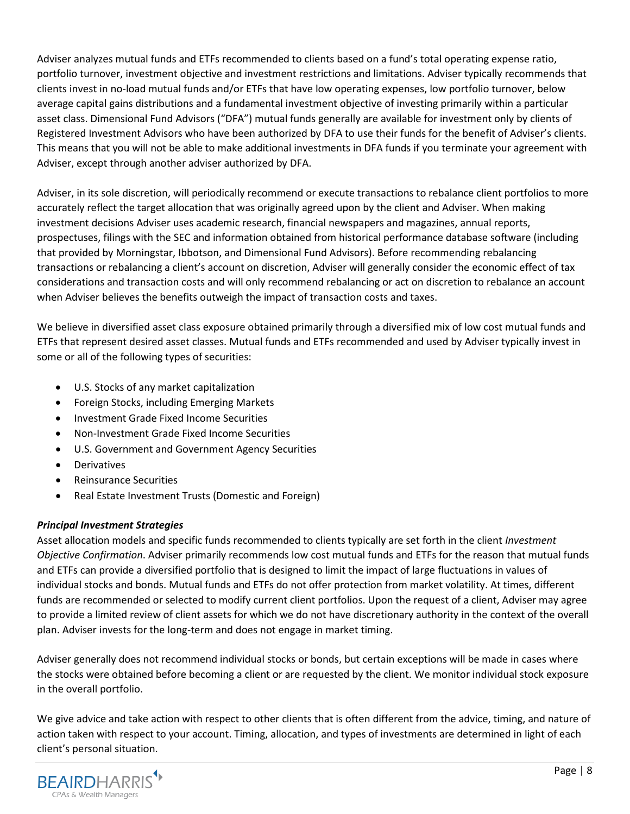Adviser analyzes mutual funds and ETFs recommended to clients based on a fund's total operating expense ratio, portfolio turnover, investment objective and investment restrictions and limitations. Adviser typically recommends that clients invest in no-load mutual funds and/or ETFs that have low operating expenses, low portfolio turnover, below average capital gains distributions and a fundamental investment objective of investing primarily within a particular asset class. Dimensional Fund Advisors ("DFA") mutual funds generally are available for investment only by clients of Registered Investment Advisors who have been authorized by DFA to use their funds for the benefit of Adviser's clients. This means that you will not be able to make additional investments in DFA funds if you terminate your agreement with Adviser, except through another adviser authorized by DFA.

Adviser, in its sole discretion, will periodically recommend or execute transactions to rebalance client portfolios to more accurately reflect the target allocation that was originally agreed upon by the client and Adviser. When making investment decisions Adviser uses academic research, financial newspapers and magazines, annual reports, prospectuses, filings with the SEC and information obtained from historical performance database software (including that provided by Morningstar, Ibbotson, and Dimensional Fund Advisors). Before recommending rebalancing transactions or rebalancing a client's account on discretion, Adviser will generally consider the economic effect of tax considerations and transaction costs and will only recommend rebalancing or act on discretion to rebalance an account when Adviser believes the benefits outweigh the impact of transaction costs and taxes.

We believe in diversified asset class exposure obtained primarily through a diversified mix of low cost mutual funds and ETFs that represent desired asset classes. Mutual funds and ETFs recommended and used by Adviser typically invest in some or all of the following types of securities:

- U.S. Stocks of any market capitalization
- Foreign Stocks, including Emerging Markets
- Investment Grade Fixed Income Securities
- Non-Investment Grade Fixed Income Securities
- U.S. Government and Government Agency Securities
- **Derivatives**
- Reinsurance Securities
- Real Estate Investment Trusts (Domestic and Foreign)

# *Principal Investment Strategies*

Asset allocation models and specific funds recommended to clients typically are set forth in the client *Investment Objective Confirmation*. Adviser primarily recommends low cost mutual funds and ETFs for the reason that mutual funds and ETFs can provide a diversified portfolio that is designed to limit the impact of large fluctuations in values of individual stocks and bonds. Mutual funds and ETFs do not offer protection from market volatility. At times, different funds are recommended or selected to modify current client portfolios. Upon the request of a client, Adviser may agree to provide a limited review of client assets for which we do not have discretionary authority in the context of the overall plan. Adviser invests for the long-term and does not engage in market timing.

Adviser generally does not recommend individual stocks or bonds, but certain exceptions will be made in cases where the stocks were obtained before becoming a client or are requested by the client. We monitor individual stock exposure in the overall portfolio.

We give advice and take action with respect to other clients that is often different from the advice, timing, and nature of action taken with respect to your account. Timing, allocation, and types of investments are determined in light of each client's personal situation.

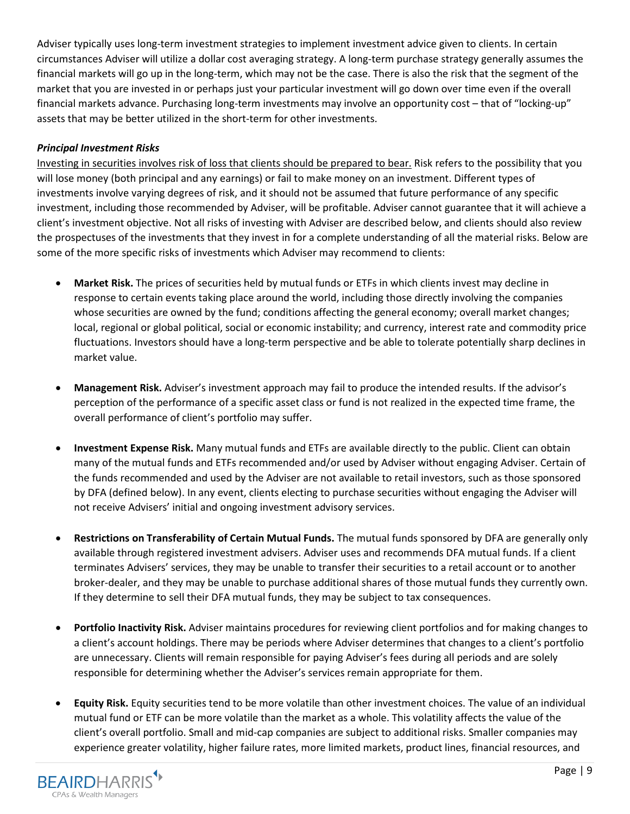Adviser typically uses long-term investment strategies to implement investment advice given to clients. In certain circumstances Adviser will utilize a dollar cost averaging strategy. A long-term purchase strategy generally assumes the financial markets will go up in the long-term, which may not be the case. There is also the risk that the segment of the market that you are invested in or perhaps just your particular investment will go down over time even if the overall financial markets advance. Purchasing long-term investments may involve an opportunity cost – that of "locking-up" assets that may be better utilized in the short-term for other investments.

# *Principal Investment Risks*

Investing in securities involves risk of loss that clients should be prepared to bear. Risk refers to the possibility that you will lose money (both principal and any earnings) or fail to make money on an investment. Different types of investments involve varying degrees of risk, and it should not be assumed that future performance of any specific investment, including those recommended by Adviser, will be profitable. Adviser cannot guarantee that it will achieve a client's investment objective. Not all risks of investing with Adviser are described below, and clients should also review the prospectuses of the investments that they invest in for a complete understanding of all the material risks. Below are some of the more specific risks of investments which Adviser may recommend to clients:

- **Market Risk.** The prices of securities held by mutual funds or ETFs in which clients invest may decline in response to certain events taking place around the world, including those directly involving the companies whose securities are owned by the fund; conditions affecting the general economy; overall market changes; local, regional or global political, social or economic instability; and currency, interest rate and commodity price fluctuations. Investors should have a long-term perspective and be able to tolerate potentially sharp declines in market value.
- **Management Risk.** Adviser's investment approach may fail to produce the intended results. If the advisor's perception of the performance of a specific asset class or fund is not realized in the expected time frame, the overall performance of client's portfolio may suffer.
- **Investment Expense Risk.** Many mutual funds and ETFs are available directly to the public. Client can obtain many of the mutual funds and ETFs recommended and/or used by Adviser without engaging Adviser. Certain of the funds recommended and used by the Adviser are not available to retail investors, such as those sponsored by DFA (defined below). In any event, clients electing to purchase securities without engaging the Adviser will not receive Advisers' initial and ongoing investment advisory services.
- **Restrictions on Transferability of Certain Mutual Funds.** The mutual funds sponsored by DFA are generally only available through registered investment advisers. Adviser uses and recommends DFA mutual funds. If a client terminates Advisers' services, they may be unable to transfer their securities to a retail account or to another broker-dealer, and they may be unable to purchase additional shares of those mutual funds they currently own. If they determine to sell their DFA mutual funds, they may be subject to tax consequences.
- **Portfolio Inactivity Risk.** Adviser maintains procedures for reviewing client portfolios and for making changes to a client's account holdings. There may be periods where Adviser determines that changes to a client's portfolio are unnecessary. Clients will remain responsible for paying Adviser's fees during all periods and are solely responsible for determining whether the Adviser's services remain appropriate for them.
- **Equity Risk.** Equity securities tend to be more volatile than other investment choices. The value of an individual mutual fund or ETF can be more volatile than the market as a whole. This volatility affects the value of the client's overall portfolio. Small and mid-cap companies are subject to additional risks. Smaller companies may experience greater volatility, higher failure rates, more limited markets, product lines, financial resources, and

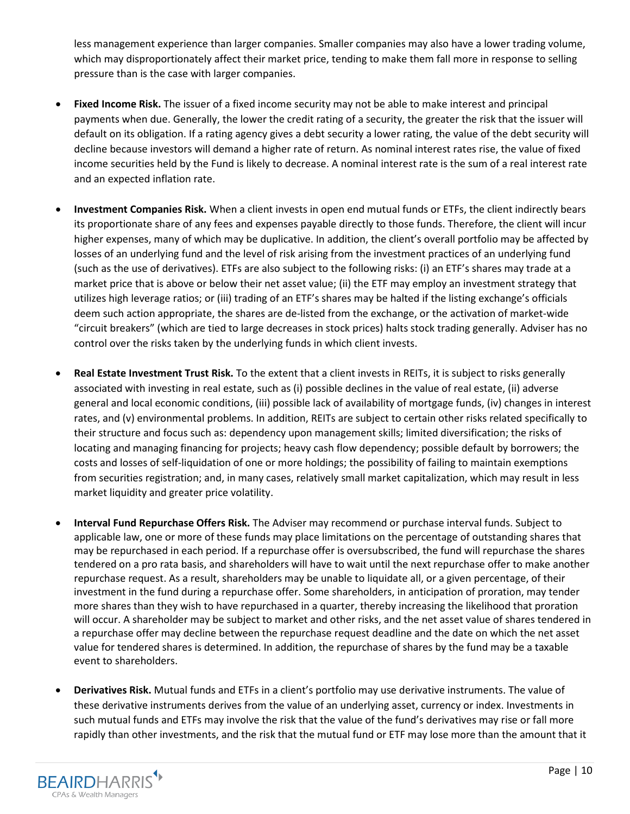less management experience than larger companies. Smaller companies may also have a lower trading volume, which may disproportionately affect their market price, tending to make them fall more in response to selling pressure than is the case with larger companies.

- **Fixed Income Risk.** The issuer of a fixed income security may not be able to make interest and principal payments when due. Generally, the lower the credit rating of a security, the greater the risk that the issuer will default on its obligation. If a rating agency gives a debt security a lower rating, the value of the debt security will decline because investors will demand a higher rate of return. As nominal interest rates rise, the value of fixed income securities held by the Fund is likely to decrease. A nominal interest rate is the sum of a real interest rate and an expected inflation rate.
- **Investment Companies Risk.** When a client invests in open end mutual funds or ETFs, the client indirectly bears its proportionate share of any fees and expenses payable directly to those funds. Therefore, the client will incur higher expenses, many of which may be duplicative. In addition, the client's overall portfolio may be affected by losses of an underlying fund and the level of risk arising from the investment practices of an underlying fund (such as the use of derivatives). ETFs are also subject to the following risks: (i) an ETF's shares may trade at a market price that is above or below their net asset value; (ii) the ETF may employ an investment strategy that utilizes high leverage ratios; or (iii) trading of an ETF's shares may be halted if the listing exchange's officials deem such action appropriate, the shares are de-listed from the exchange, or the activation of market-wide "circuit breakers" (which are tied to large decreases in stock prices) halts stock trading generally. Adviser has no control over the risks taken by the underlying funds in which client invests.
- **Real Estate Investment Trust Risk.** To the extent that a client invests in REITs, it is subject to risks generally associated with investing in real estate, such as (i) possible declines in the value of real estate, (ii) adverse general and local economic conditions, (iii) possible lack of availability of mortgage funds, (iv) changes in interest rates, and (v) environmental problems. In addition, REITs are subject to certain other risks related specifically to their structure and focus such as: dependency upon management skills; limited diversification; the risks of locating and managing financing for projects; heavy cash flow dependency; possible default by borrowers; the costs and losses of self-liquidation of one or more holdings; the possibility of failing to maintain exemptions from securities registration; and, in many cases, relatively small market capitalization, which may result in less market liquidity and greater price volatility.
- **Interval Fund Repurchase Offers Risk.** The Adviser may recommend or purchase interval funds. Subject to applicable law, one or more of these funds may place limitations on the percentage of outstanding shares that may be repurchased in each period. If a repurchase offer is oversubscribed, the fund will repurchase the shares tendered on a pro rata basis, and shareholders will have to wait until the next repurchase offer to make another repurchase request. As a result, shareholders may be unable to liquidate all, or a given percentage, of their investment in the fund during a repurchase offer. Some shareholders, in anticipation of proration, may tender more shares than they wish to have repurchased in a quarter, thereby increasing the likelihood that proration will occur. A shareholder may be subject to market and other risks, and the net asset value of shares tendered in a repurchase offer may decline between the repurchase request deadline and the date on which the net asset value for tendered shares is determined. In addition, the repurchase of shares by the fund may be a taxable event to shareholders.
- **Derivatives Risk.** Mutual funds and ETFs in a client's portfolio may use derivative instruments. The value of these derivative instruments derives from the value of an underlying asset, currency or index. Investments in such mutual funds and ETFs may involve the risk that the value of the fund's derivatives may rise or fall more rapidly than other investments, and the risk that the mutual fund or ETF may lose more than the amount that it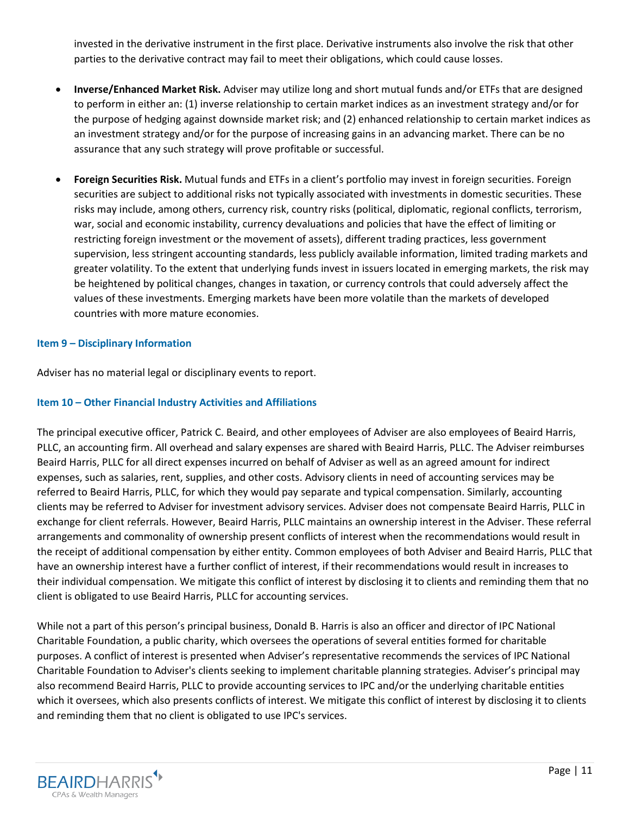invested in the derivative instrument in the first place. Derivative instruments also involve the risk that other parties to the derivative contract may fail to meet their obligations, which could cause losses.

- **Inverse/Enhanced Market Risk.** Adviser may utilize long and short mutual funds and/or ETFs that are designed to perform in either an: (1) inverse relationship to certain market indices as an investment strategy and/or for the purpose of hedging against downside market risk; and (2) enhanced relationship to certain market indices as an investment strategy and/or for the purpose of increasing gains in an advancing market. There can be no assurance that any such strategy will prove profitable or successful.
- **Foreign Securities Risk.** Mutual funds and ETFs in a client's portfolio may invest in foreign securities. Foreign securities are subject to additional risks not typically associated with investments in domestic securities. These risks may include, among others, currency risk, country risks (political, diplomatic, regional conflicts, terrorism, war, social and economic instability, currency devaluations and policies that have the effect of limiting or restricting foreign investment or the movement of assets), different trading practices, less government supervision, less stringent accounting standards, less publicly available information, limited trading markets and greater volatility. To the extent that underlying funds invest in issuers located in emerging markets, the risk may be heightened by political changes, changes in taxation, or currency controls that could adversely affect the values of these investments. Emerging markets have been more volatile than the markets of developed countries with more mature economies.

### <span id="page-10-0"></span>**Item 9 – Disciplinary Information**

Adviser has no material legal or disciplinary events to report.

### <span id="page-10-1"></span>**Item 10 – Other Financial Industry Activities and Affiliations**

The principal executive officer, Patrick C. Beaird, and other employees of Adviser are also employees of Beaird Harris, PLLC, an accounting firm. All overhead and salary expenses are shared with Beaird Harris, PLLC. The Adviser reimburses Beaird Harris, PLLC for all direct expenses incurred on behalf of Adviser as well as an agreed amount for indirect expenses, such as salaries, rent, supplies, and other costs. Advisory clients in need of accounting services may be referred to Beaird Harris, PLLC, for which they would pay separate and typical compensation. Similarly, accounting clients may be referred to Adviser for investment advisory services. Adviser does not compensate Beaird Harris, PLLC in exchange for client referrals. However, Beaird Harris, PLLC maintains an ownership interest in the Adviser. These referral arrangements and commonality of ownership present conflicts of interest when the recommendations would result in the receipt of additional compensation by either entity. Common employees of both Adviser and Beaird Harris, PLLC that have an ownership interest have a further conflict of interest, if their recommendations would result in increases to their individual compensation. We mitigate this conflict of interest by disclosing it to clients and reminding them that no client is obligated to use Beaird Harris, PLLC for accounting services.

While not a part of this person's principal business, Donald B. Harris is also an officer and director of IPC National Charitable Foundation, a public charity, which oversees the operations of several entities formed for charitable purposes. A conflict of interest is presented when Adviser's representative recommends the services of IPC National Charitable Foundation to Adviser's clients seeking to implement charitable planning strategies. Adviser's principal may also recommend Beaird Harris, PLLC to provide accounting services to IPC and/or the underlying charitable entities which it oversees, which also presents conflicts of interest. We mitigate this conflict of interest by disclosing it to clients and reminding them that no client is obligated to use IPC's services.

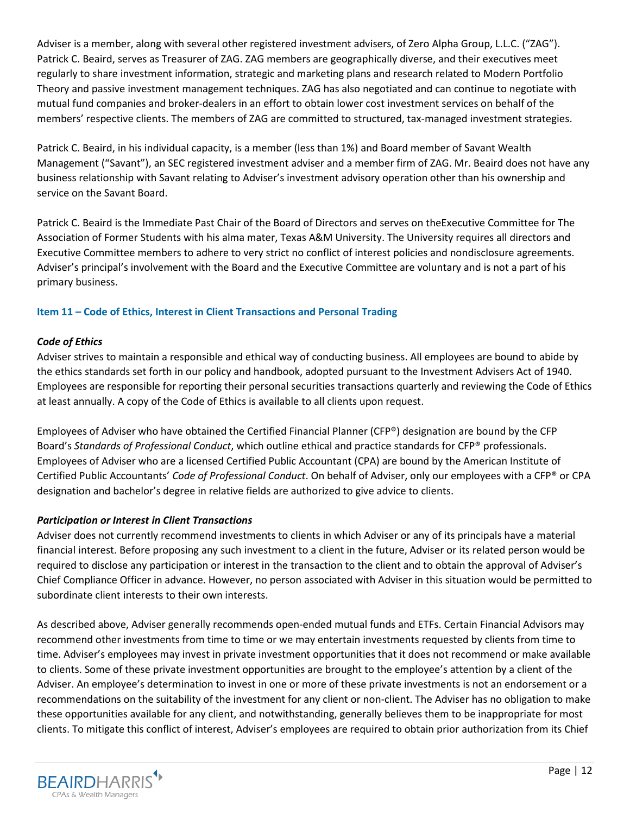Adviser is a member, along with several other registered investment advisers, of Zero Alpha Group, L.L.C. ("ZAG"). Patrick C. Beaird, serves as Treasurer of ZAG. ZAG members are geographically diverse, and their executives meet regularly to share investment information, strategic and marketing plans and research related to Modern Portfolio Theory and passive investment management techniques. ZAG has also negotiated and can continue to negotiate with mutual fund companies and broker-dealers in an effort to obtain lower cost investment services on behalf of the members' respective clients. The members of ZAG are committed to structured, tax-managed investment strategies.

Patrick C. Beaird, in his individual capacity, is a member (less than 1%) and Board member of Savant Wealth Management ("Savant"), an SEC registered investment adviser and a member firm of ZAG. Mr. Beaird does not have any business relationship with Savant relating to Adviser's investment advisory operation other than his ownership and service on the Savant Board.

Patrick C. Beaird is the Immediate Past Chair of the Board of Directors and serves on theExecutive Committee for The Association of Former Students with his alma mater, Texas A&M University. The University requires all directors and Executive Committee members to adhere to very strict no conflict of interest policies and nondisclosure agreements. Adviser's principal's involvement with the Board and the Executive Committee are voluntary and is not a part of his primary business.

# <span id="page-11-0"></span>**Item 11 – Code of Ethics, Interest in Client Transactions and Personal Trading**

# *Code of Ethics*

Adviser strives to maintain a responsible and ethical way of conducting business. All employees are bound to abide by the ethics standards set forth in our policy and handbook, adopted pursuant to the Investment Advisers Act of 1940. Employees are responsible for reporting their personal securities transactions quarterly and reviewing the Code of Ethics at least annually. A copy of the Code of Ethics is available to all clients upon request.

Employees of Adviser who have obtained the Certified Financial Planner (CFP®) designation are bound by the CFP Board's *Standards of Professional Conduct*, which outline ethical and practice standards for CFP® professionals. Employees of Adviser who are a licensed Certified Public Accountant (CPA) are bound by the American Institute of Certified Public Accountants' *Code of Professional Conduct*. On behalf of Adviser, only our employees with a CFP® or CPA designation and bachelor's degree in relative fields are authorized to give advice to clients.

# *Participation or Interest in Client Transactions*

Adviser does not currently recommend investments to clients in which Adviser or any of its principals have a material financial interest. Before proposing any such investment to a client in the future, Adviser or its related person would be required to disclose any participation or interest in the transaction to the client and to obtain the approval of Adviser's Chief Compliance Officer in advance. However, no person associated with Adviser in this situation would be permitted to subordinate client interests to their own interests.

As described above, Adviser generally recommends open-ended mutual funds and ETFs. Certain Financial Advisors may recommend other investments from time to time or we may entertain investments requested by clients from time to time. Adviser's employees may invest in private investment opportunities that it does not recommend or make available to clients. Some of these private investment opportunities are brought to the employee's attention by a client of the Adviser. An employee's determination to invest in one or more of these private investments is not an endorsement or a recommendations on the suitability of the investment for any client or non-client. The Adviser has no obligation to make these opportunities available for any client, and notwithstanding, generally believes them to be inappropriate for most clients. To mitigate this conflict of interest, Adviser's employees are required to obtain prior authorization from its Chief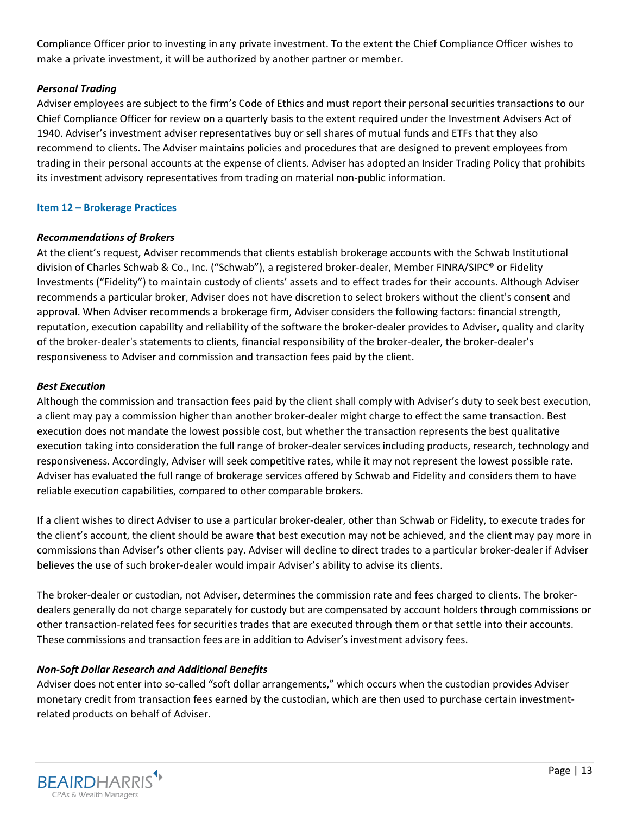Compliance Officer prior to investing in any private investment. To the extent the Chief Compliance Officer wishes to make a private investment, it will be authorized by another partner or member.

## *Personal Trading*

Adviser employees are subject to the firm's Code of Ethics and must report their personal securities transactions to our Chief Compliance Officer for review on a quarterly basis to the extent required under the Investment Advisers Act of 1940. Adviser's investment adviser representatives buy or sell shares of mutual funds and ETFs that they also recommend to clients. The Adviser maintains policies and procedures that are designed to prevent employees from trading in their personal accounts at the expense of clients. Adviser has adopted an Insider Trading Policy that prohibits its investment advisory representatives from trading on material non-public information.

### <span id="page-12-0"></span>**Item 12 – Brokerage Practices**

## *Recommendations of Brokers*

At the client's request, Adviser recommends that clients establish brokerage accounts with the Schwab Institutional division of Charles Schwab & Co., Inc. ("Schwab"), a registered broker-dealer, Member FINRA/SIPC® or Fidelity Investments ("Fidelity") to maintain custody of clients' assets and to effect trades for their accounts. Although Adviser recommends a particular broker, Adviser does not have discretion to select brokers without the client's consent and approval. When Adviser recommends a brokerage firm, Adviser considers the following factors: financial strength, reputation, execution capability and reliability of the software the broker-dealer provides to Adviser, quality and clarity of the broker-dealer's statements to clients, financial responsibility of the broker-dealer, the broker-dealer's responsiveness to Adviser and commission and transaction fees paid by the client.

## *Best Execution*

Although the commission and transaction fees paid by the client shall comply with Adviser's duty to seek best execution, a client may pay a commission higher than another broker-dealer might charge to effect the same transaction. Best execution does not mandate the lowest possible cost, but whether the transaction represents the best qualitative execution taking into consideration the full range of broker-dealer services including products, research, technology and responsiveness. Accordingly, Adviser will seek competitive rates, while it may not represent the lowest possible rate. Adviser has evaluated the full range of brokerage services offered by Schwab and Fidelity and considers them to have reliable execution capabilities, compared to other comparable brokers.

If a client wishes to direct Adviser to use a particular broker-dealer, other than Schwab or Fidelity, to execute trades for the client's account, the client should be aware that best execution may not be achieved, and the client may pay more in commissions than Adviser's other clients pay. Adviser will decline to direct trades to a particular broker-dealer if Adviser believes the use of such broker-dealer would impair Adviser's ability to advise its clients.

The broker-dealer or custodian, not Adviser, determines the commission rate and fees charged to clients. The brokerdealers generally do not charge separately for custody but are compensated by account holders through commissions or other transaction-related fees for securities trades that are executed through them or that settle into their accounts. These commissions and transaction fees are in addition to Adviser's investment advisory fees.

# *Non-Soft Dollar Research and Additional Benefits*

Adviser does not enter into so-called "soft dollar arrangements," which occurs when the custodian provides Adviser monetary credit from transaction fees earned by the custodian, which are then used to purchase certain investmentrelated products on behalf of Adviser.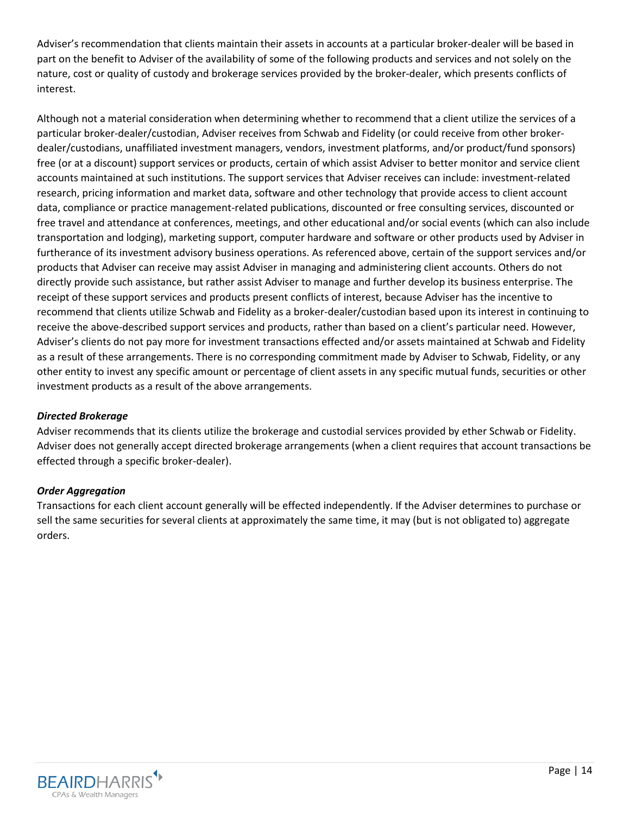Adviser's recommendation that clients maintain their assets in accounts at a particular broker-dealer will be based in part on the benefit to Adviser of the availability of some of the following products and services and not solely on the nature, cost or quality of custody and brokerage services provided by the broker-dealer, which presents conflicts of interest.

Although not a material consideration when determining whether to recommend that a client utilize the services of a particular broker-dealer/custodian, Adviser receives from Schwab and Fidelity (or could receive from other brokerdealer/custodians, unaffiliated investment managers, vendors, investment platforms, and/or product/fund sponsors) free (or at a discount) support services or products, certain of which assist Adviser to better monitor and service client accounts maintained at such institutions. The support services that Adviser receives can include: investment-related research, pricing information and market data, software and other technology that provide access to client account data, compliance or practice management-related publications, discounted or free consulting services, discounted or free travel and attendance at conferences, meetings, and other educational and/or social events (which can also include transportation and lodging), marketing support, computer hardware and software or other products used by Adviser in furtherance of its investment advisory business operations. As referenced above, certain of the support services and/or products that Adviser can receive may assist Adviser in managing and administering client accounts. Others do not directly provide such assistance, but rather assist Adviser to manage and further develop its business enterprise. The receipt of these support services and products present conflicts of interest, because Adviser has the incentive to recommend that clients utilize Schwab and Fidelity as a broker-dealer/custodian based upon its interest in continuing to receive the above-described support services and products, rather than based on a client's particular need. However, Adviser's clients do not pay more for investment transactions effected and/or assets maintained at Schwab and Fidelity as a result of these arrangements. There is no corresponding commitment made by Adviser to Schwab, Fidelity, or any other entity to invest any specific amount or percentage of client assets in any specific mutual funds, securities or other investment products as a result of the above arrangements.

# *Directed Brokerage*

Adviser recommends that its clients utilize the brokerage and custodial services provided by ether Schwab or Fidelity. Adviser does not generally accept directed brokerage arrangements (when a client requires that account transactions be effected through a specific broker-dealer).

# *Order Aggregation*

<span id="page-13-0"></span>Transactions for each client account generally will be effected independently. If the Adviser determines to purchase or sell the same securities for several clients at approximately the same time, it may (but is not obligated to) aggregate orders.

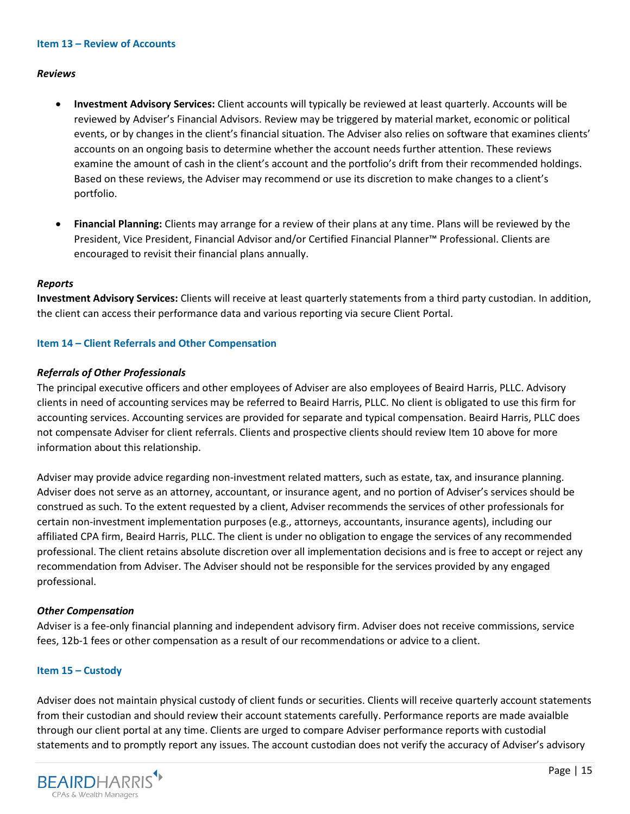#### **Item 13 – Review of Accounts**

#### *Reviews*

- **Investment Advisory Services:** Client accounts will typically be reviewed at least quarterly. Accounts will be reviewed by Adviser's Financial Advisors. Review may be triggered by material market, economic or political events, or by changes in the client's financial situation. The Adviser also relies on software that examines clients' accounts on an ongoing basis to determine whether the account needs further attention. These reviews examine the amount of cash in the client's account and the portfolio's drift from their recommended holdings. Based on these reviews, the Adviser may recommend or use its discretion to make changes to a client's portfolio.
- **Financial Planning:** Clients may arrange for a review of their plans at any time. Plans will be reviewed by the President, Vice President, Financial Advisor and/or Certified Financial Planner™ Professional. Clients are encouraged to revisit their financial plans annually.

#### *Reports*

**Investment Advisory Services:** Clients will receive at least quarterly statements from a third party custodian. In addition, the client can access their performance data and various reporting via secure Client Portal.

#### <span id="page-14-0"></span>**Item 14 – Client Referrals and Other Compensation**

#### *Referrals of Other Professionals*

The principal executive officers and other employees of Adviser are also employees of Beaird Harris, PLLC. Advisory clients in need of accounting services may be referred to Beaird Harris, PLLC. No client is obligated to use this firm for accounting services. Accounting services are provided for separate and typical compensation. Beaird Harris, PLLC does not compensate Adviser for client referrals. Clients and prospective clients should review Item 10 above for more information about this relationship.

Adviser may provide advice regarding non-investment related matters, such as estate, tax, and insurance planning. Adviser does not serve as an attorney, accountant, or insurance agent, and no portion of Adviser's services should be construed as such. To the extent requested by a client, Adviser recommends the services of other professionals for certain non-investment implementation purposes (e.g., attorneys, accountants, insurance agents), including our affiliated CPA firm, Beaird Harris, PLLC. The client is under no obligation to engage the services of any recommended professional. The client retains absolute discretion over all implementation decisions and is free to accept or reject any recommendation from Adviser. The Adviser should not be responsible for the services provided by any engaged professional.

#### *Other Compensation*

Adviser is a fee-only financial planning and independent advisory firm. Adviser does not receive commissions, service fees, 12b-1 fees or other compensation as a result of our recommendations or advice to a client.

#### <span id="page-14-1"></span>**Item 15 – Custody**

Adviser does not maintain physical custody of client funds or securities. Clients will receive quarterly account statements from their custodian and should review their account statements carefully. Performance reports are made avaialble through our client portal at any time. Clients are urged to compare Adviser performance reports with custodial statements and to promptly report any issues. The account custodian does not verify the accuracy of Adviser's advisory